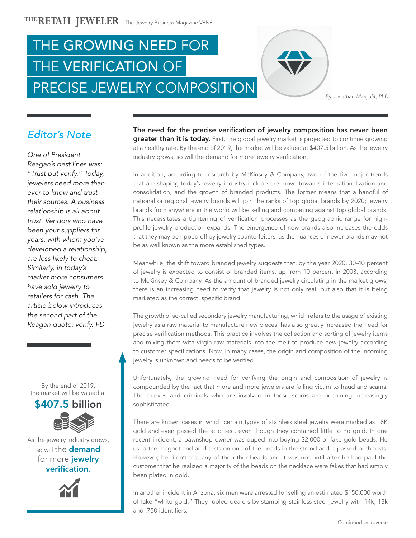



*By Jonathan Margalit, PhD*

## Editor's Note

*One of President Reagan's best lines was: "Trust but verify." Today, jewelers need more than ever to know and trust their sources. A business relationship is all about trust. Vendors who have been your suppliers for years, with whom you've developed a relationship, are less likely to cheat. Similarly, in today's market more consumers have sold jewelry to retailers for cash. The article below introduces the second part of the Reagan quote: verify. FD*

By the end of 2019, the market will be valued at



As the jewelry industry grows, so will the **demand** for more jewelry verification.



The need for the precise verification of jewelry composition has never been greater than it is today. First, the global jewelry market is projected to continue growing at a healthy rate. By the end of 2019, the market will be valued at \$407.5 billion. As the jewelry industry grows, so will the demand for more jewelry verification.

In addition, according to research by McKinsey & Company, two of the five major trends that are shaping today's jewelry industry include the move towards internationalization and consolidation, and the growth of branded products. The former means that a handful of national or regional jewelry brands will join the ranks of top global brands by 2020; jewelry brands from anywhere in the world will be selling and competing against top global brands. This necessitates a tightening of verification processes as the geographic range for highprofile jewelry production expands. The emergence of new brands also increases the odds that they may be ripped off by jewelry counterfeiters, as the nuances of newer brands may not be as well known as the more established types.

Meanwhile, the shift toward branded jewelry suggests that, by the year 2020, 30-40 percent of jewelry is expected to consist of branded items, up from 10 percent in 2003, according to McKinsey & Company. As the amount of branded jewelry circulating in the market grows, there is an increasing need to verify that jewelry is not only real, but also that it is being marketed as the correct, specific brand.

The growth of so-called secondary jewelry manufacturing, which refers to the usage of existing jewelry as a raw material to manufacture new pieces, has also greatly increased the need for precise verification methods. This practice involves the collection and sorting of jewelry items and mixing them with virgin raw materials into the melt to produce new jewelry according to customer specifications. Now, in many cases, the origin and composition of the incoming jewelry is unknown and needs to be verified.

Unfortunately, the growing need for verifying the origin and composition of jewelry is compounded by the fact that more and more jewelers are falling victim to fraud and scams. The thieves and criminals who are involved in these scams are becoming increasingly sophisticated.

There are known cases in which certain types of stainless steel jewelry were marked as 18K gold and even passed the acid test, even though they contained little to no gold. In one recent incident, a pawnshop owner was duped into buying \$2,000 of fake gold beads. He used the magnet and acid tests on one of the beads in the strand and it passed both tests. However, he didn't test any of the other beads and it was not until after he had paid the customer that he realized a majority of the beads on the necklace were fakes that had simply been plated in gold.

In another incident in Arizona, six men were arrested for selling an estimated \$150,000 worth of fake "white gold." They fooled dealers by stamping stainless-steel jewelry with 14k, 18k and .750 identifiers.